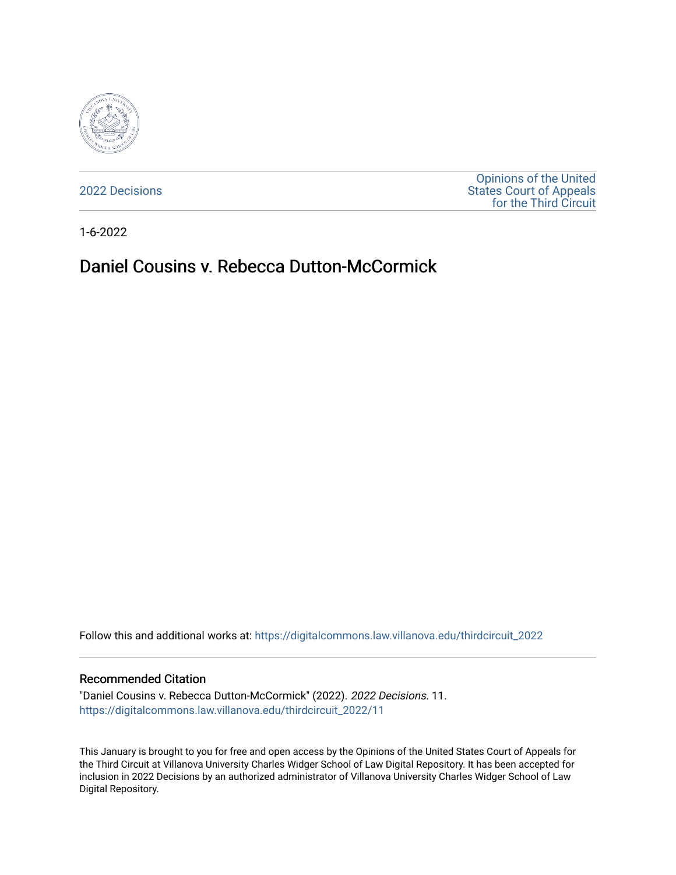

[2022 Decisions](https://digitalcommons.law.villanova.edu/thirdcircuit_2022)

[Opinions of the United](https://digitalcommons.law.villanova.edu/thirdcircuit)  [States Court of Appeals](https://digitalcommons.law.villanova.edu/thirdcircuit)  [for the Third Circuit](https://digitalcommons.law.villanova.edu/thirdcircuit) 

1-6-2022

# Daniel Cousins v. Rebecca Dutton-McCormick

Follow this and additional works at: [https://digitalcommons.law.villanova.edu/thirdcircuit\\_2022](https://digitalcommons.law.villanova.edu/thirdcircuit_2022?utm_source=digitalcommons.law.villanova.edu%2Fthirdcircuit_2022%2F11&utm_medium=PDF&utm_campaign=PDFCoverPages) 

#### Recommended Citation

"Daniel Cousins v. Rebecca Dutton-McCormick" (2022). 2022 Decisions. 11. [https://digitalcommons.law.villanova.edu/thirdcircuit\\_2022/11](https://digitalcommons.law.villanova.edu/thirdcircuit_2022/11?utm_source=digitalcommons.law.villanova.edu%2Fthirdcircuit_2022%2F11&utm_medium=PDF&utm_campaign=PDFCoverPages)

This January is brought to you for free and open access by the Opinions of the United States Court of Appeals for the Third Circuit at Villanova University Charles Widger School of Law Digital Repository. It has been accepted for inclusion in 2022 Decisions by an authorized administrator of Villanova University Charles Widger School of Law Digital Repository.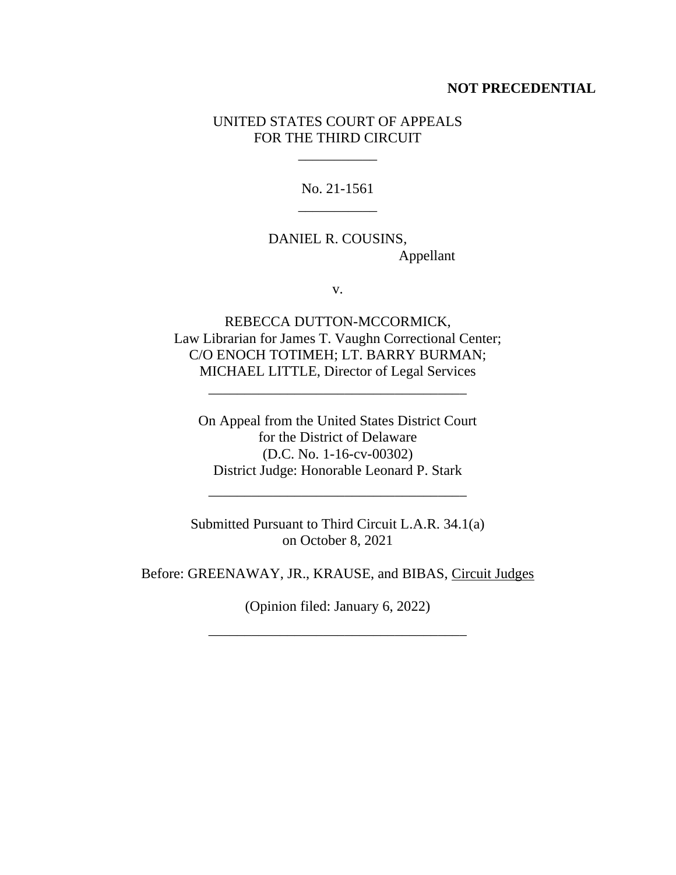#### **NOT PRECEDENTIAL**

## UNITED STATES COURT OF APPEALS FOR THE THIRD CIRCUIT

\_\_\_\_\_\_\_\_\_\_\_

No. 21-1561 \_\_\_\_\_\_\_\_\_\_\_

DANIEL R. COUSINS, Appellant

v.

REBECCA DUTTON-MCCORMICK, Law Librarian for James T. Vaughn Correctional Center; C/O ENOCH TOTIMEH; LT. BARRY BURMAN; MICHAEL LITTLE, Director of Legal Services

\_\_\_\_\_\_\_\_\_\_\_\_\_\_\_\_\_\_\_\_\_\_\_\_\_\_\_\_\_\_\_\_\_\_\_\_

On Appeal from the United States District Court for the District of Delaware (D.C. No. 1-16-cv-00302) District Judge: Honorable Leonard P. Stark

Submitted Pursuant to Third Circuit L.A.R. 34.1(a) on October 8, 2021

\_\_\_\_\_\_\_\_\_\_\_\_\_\_\_\_\_\_\_\_\_\_\_\_\_\_\_\_\_\_\_\_\_\_\_\_

Before: GREENAWAY, JR., KRAUSE, and BIBAS, Circuit Judges

(Opinion filed: January 6, 2022)

\_\_\_\_\_\_\_\_\_\_\_\_\_\_\_\_\_\_\_\_\_\_\_\_\_\_\_\_\_\_\_\_\_\_\_\_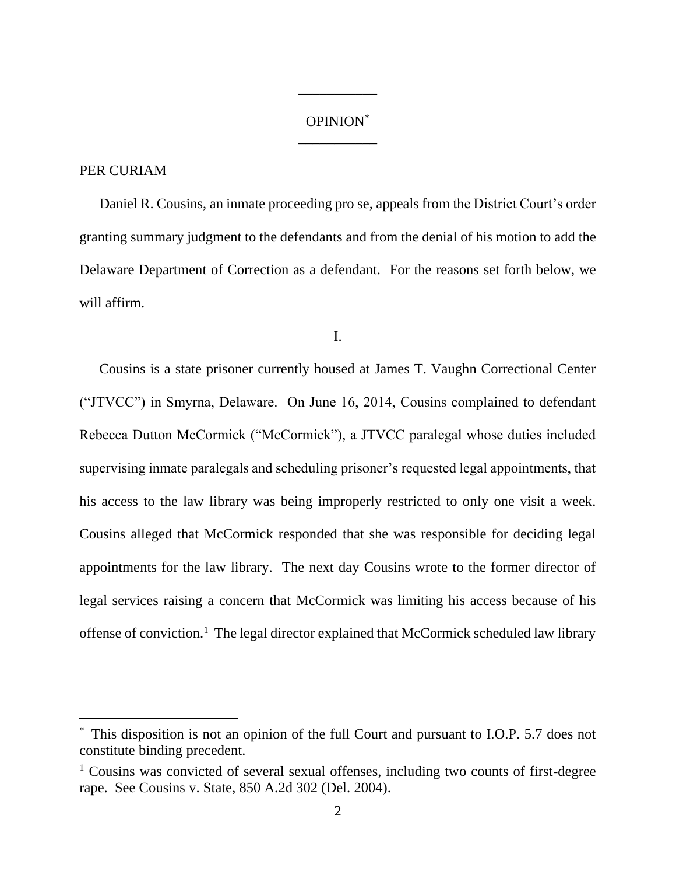## OPINION\* \_\_\_\_\_\_\_\_\_\_\_

\_\_\_\_\_\_\_\_\_\_\_

## PER CURIAM

Daniel R. Cousins, an inmate proceeding pro se, appeals from the District Court's order granting summary judgment to the defendants and from the denial of his motion to add the Delaware Department of Correction as a defendant. For the reasons set forth below, we will affirm.

I.

Cousins is a state prisoner currently housed at James T. Vaughn Correctional Center ("JTVCC") in Smyrna, Delaware. On June 16, 2014, Cousins complained to defendant Rebecca Dutton McCormick ("McCormick"), a JTVCC paralegal whose duties included supervising inmate paralegals and scheduling prisoner's requested legal appointments, that his access to the law library was being improperly restricted to only one visit a week. Cousins alleged that McCormick responded that she was responsible for deciding legal appointments for the law library. The next day Cousins wrote to the former director of legal services raising a concern that McCormick was limiting his access because of his offense of conviction.<sup>1</sup> The legal director explained that McCormick scheduled law library

This disposition is not an opinion of the full Court and pursuant to I.O.P. 5.7 does not constitute binding precedent.

<sup>&</sup>lt;sup>1</sup> Cousins was convicted of several sexual offenses, including two counts of first-degree rape. See Cousins v. State, 850 A.2d 302 (Del. 2004).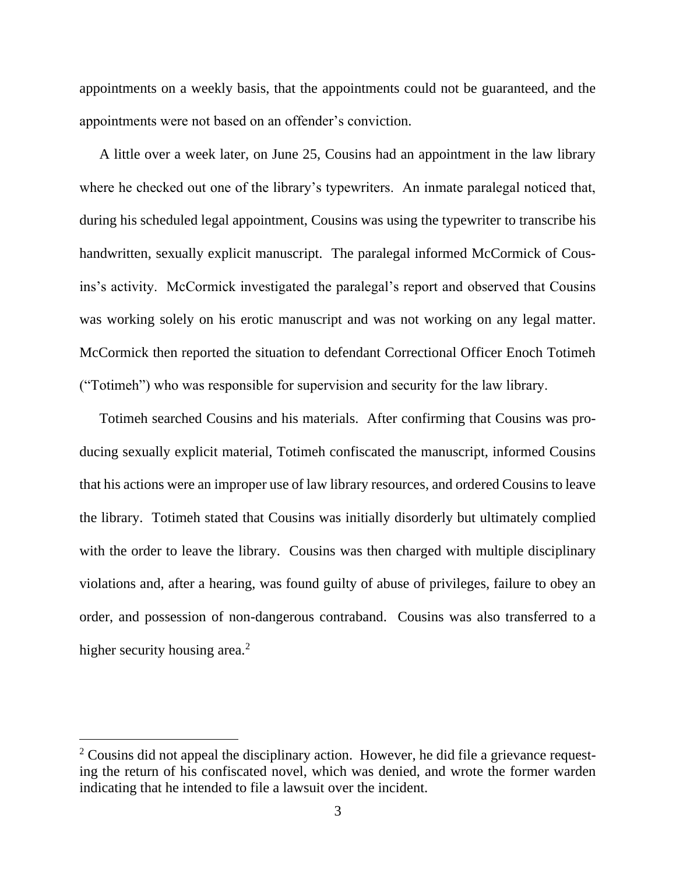appointments on a weekly basis, that the appointments could not be guaranteed, and the appointments were not based on an offender's conviction.

A little over a week later, on June 25, Cousins had an appointment in the law library where he checked out one of the library's typewriters. An inmate paralegal noticed that, during his scheduled legal appointment, Cousins was using the typewriter to transcribe his handwritten, sexually explicit manuscript. The paralegal informed McCormick of Cousins's activity. McCormick investigated the paralegal's report and observed that Cousins was working solely on his erotic manuscript and was not working on any legal matter. McCormick then reported the situation to defendant Correctional Officer Enoch Totimeh ("Totimeh") who was responsible for supervision and security for the law library.

Totimeh searched Cousins and his materials. After confirming that Cousins was producing sexually explicit material, Totimeh confiscated the manuscript, informed Cousins that his actions were an improper use of law library resources, and ordered Cousins to leave the library. Totimeh stated that Cousins was initially disorderly but ultimately complied with the order to leave the library. Cousins was then charged with multiple disciplinary violations and, after a hearing, was found guilty of abuse of privileges, failure to obey an order, and possession of non-dangerous contraband. Cousins was also transferred to a higher security housing area.<sup>2</sup>

<sup>&</sup>lt;sup>2</sup> Cousins did not appeal the disciplinary action. However, he did file a grievance requesting the return of his confiscated novel, which was denied, and wrote the former warden indicating that he intended to file a lawsuit over the incident.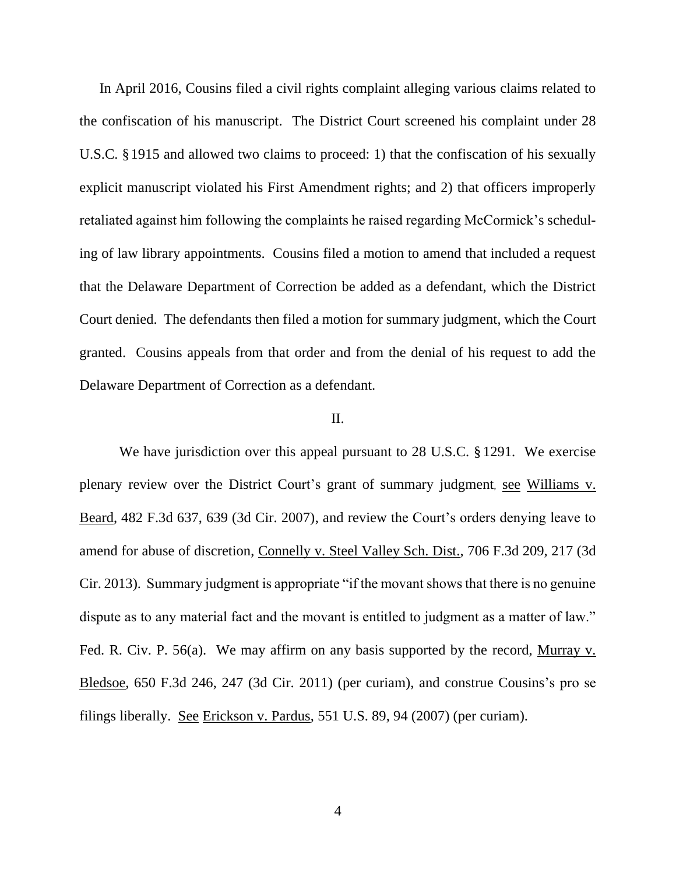In April 2016, Cousins filed a civil rights complaint alleging various claims related to the confiscation of his manuscript. The District Court screened his complaint under 28 U.S.C. §1915 and allowed two claims to proceed: 1) that the confiscation of his sexually explicit manuscript violated his First Amendment rights; and 2) that officers improperly retaliated against him following the complaints he raised regarding McCormick's scheduling of law library appointments. Cousins filed a motion to amend that included a request that the Delaware Department of Correction be added as a defendant, which the District Court denied. The defendants then filed a motion for summary judgment, which the Court granted. Cousins appeals from that order and from the denial of his request to add the Delaware Department of Correction as a defendant.

#### II.

We have jurisdiction over this appeal pursuant to 28 U.S.C. § 1291. We exercise plenary review over the District Court's grant of summary judgment, see Williams v. Beard, 482 F.3d 637, 639 (3d Cir. 2007), and review the Court's orders denying leave to amend for abuse of discretion, Connelly v. Steel Valley Sch. Dist., 706 F.3d 209, 217 (3d Cir. 2013). Summary judgment is appropriate "if the movant shows that there is no genuine dispute as to any material fact and the movant is entitled to judgment as a matter of law." Fed. R. Civ. P. 56(a). We may affirm on any basis supported by the record, Murray v. Bledsoe, 650 F.3d 246, 247 (3d Cir. 2011) (per curiam), and construe Cousins's pro se filings liberally. See Erickson v. Pardus, 551 U.S. 89, 94 (2007) (per curiam).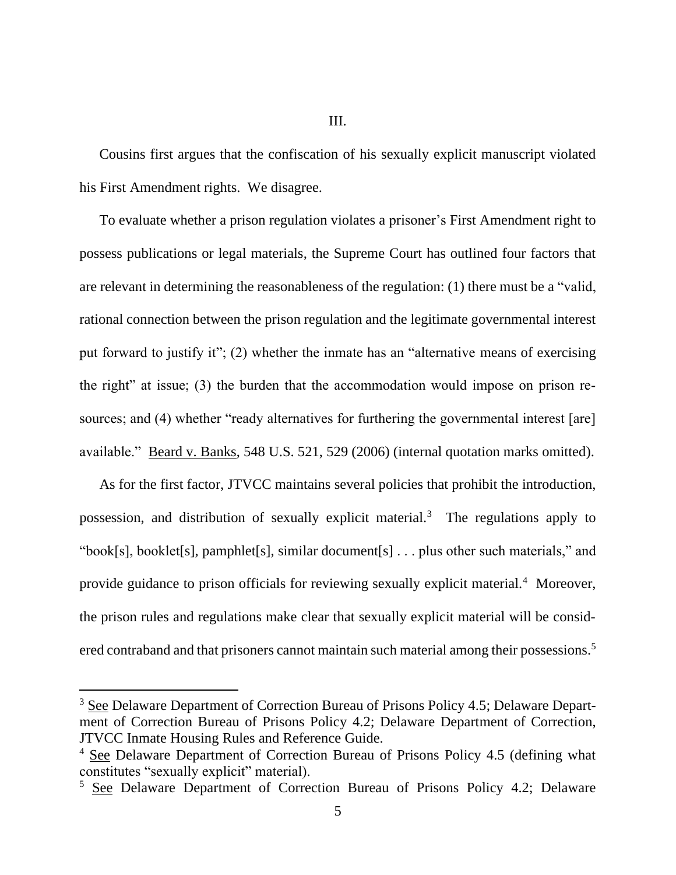III.

Cousins first argues that the confiscation of his sexually explicit manuscript violated his First Amendment rights. We disagree.

To evaluate whether a prison regulation violates a prisoner's First Amendment right to possess publications or legal materials, the Supreme Court has outlined four factors that are relevant in determining the reasonableness of the regulation: (1) there must be a "valid, rational connection between the prison regulation and the legitimate governmental interest put forward to justify it"; (2) whether the inmate has an "alternative means of exercising the right" at issue; (3) the burden that the accommodation would impose on prison resources; and (4) whether "ready alternatives for furthering the governmental interest [are] available." Beard v. Banks, 548 U.S. 521, 529 (2006) (internal quotation marks omitted).

As for the first factor, JTVCC maintains several policies that prohibit the introduction, possession, and distribution of sexually explicit material.<sup>3</sup> The regulations apply to "book[s], booklet[s], pamphlet[s], similar document[s]  $\dots$  plus other such materials," and provide guidance to prison officials for reviewing sexually explicit material.<sup>4</sup> Moreover, the prison rules and regulations make clear that sexually explicit material will be considered contraband and that prisoners cannot maintain such material among their possessions.<sup>5</sup>

<sup>&</sup>lt;sup>3</sup> See Delaware Department of Correction Bureau of Prisons Policy 4.5; Delaware Department of Correction Bureau of Prisons Policy 4.2; Delaware Department of Correction, JTVCC Inmate Housing Rules and Reference Guide.

<sup>4</sup> See Delaware Department of Correction Bureau of Prisons Policy 4.5 (defining what constitutes "sexually explicit" material).

<sup>5</sup> See Delaware Department of Correction Bureau of Prisons Policy 4.2; Delaware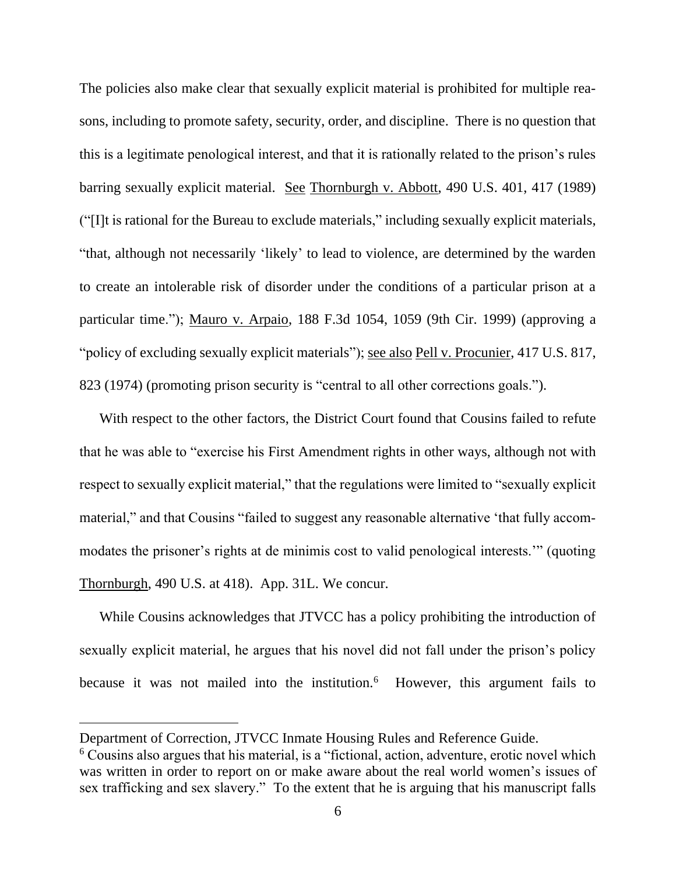The policies also make clear that sexually explicit material is prohibited for multiple reasons, including to promote safety, security, order, and discipline. There is no question that this is a legitimate penological interest, and that it is rationally related to the prison's rules barring sexually explicit material. See Thornburgh v. Abbott, 490 U.S. 401, 417 (1989) ("[I]t is rational for the Bureau to exclude materials," including sexually explicit materials, "that, although not necessarily 'likely' to lead to violence, are determined by the warden to create an intolerable risk of disorder under the conditions of a particular prison at a particular time."); Mauro v. Arpaio, 188 F.3d 1054, 1059 (9th Cir. 1999) (approving a "policy of excluding sexually explicit materials"); see also Pell v. Procunier, 417 U.S. 817, 823 (1974) (promoting prison security is "central to all other corrections goals.").

With respect to the other factors, the District Court found that Cousins failed to refute that he was able to "exercise his First Amendment rights in other ways, although not with respect to sexually explicit material," that the regulations were limited to "sexually explicit material," and that Cousins "failed to suggest any reasonable alternative 'that fully accommodates the prisoner's rights at de minimis cost to valid penological interests.'" (quoting Thornburgh, 490 U.S. at 418). App. 31L. We concur.

While Cousins acknowledges that JTVCC has a policy prohibiting the introduction of sexually explicit material, he argues that his novel did not fall under the prison's policy because it was not mailed into the institution.<sup>6</sup> However, this argument fails to

Department of Correction, JTVCC Inmate Housing Rules and Reference Guide.

 $6$  Cousins also argues that his material, is a "fictional, action, adventure, erotic novel which was written in order to report on or make aware about the real world women's issues of sex trafficking and sex slavery." To the extent that he is arguing that his manuscript falls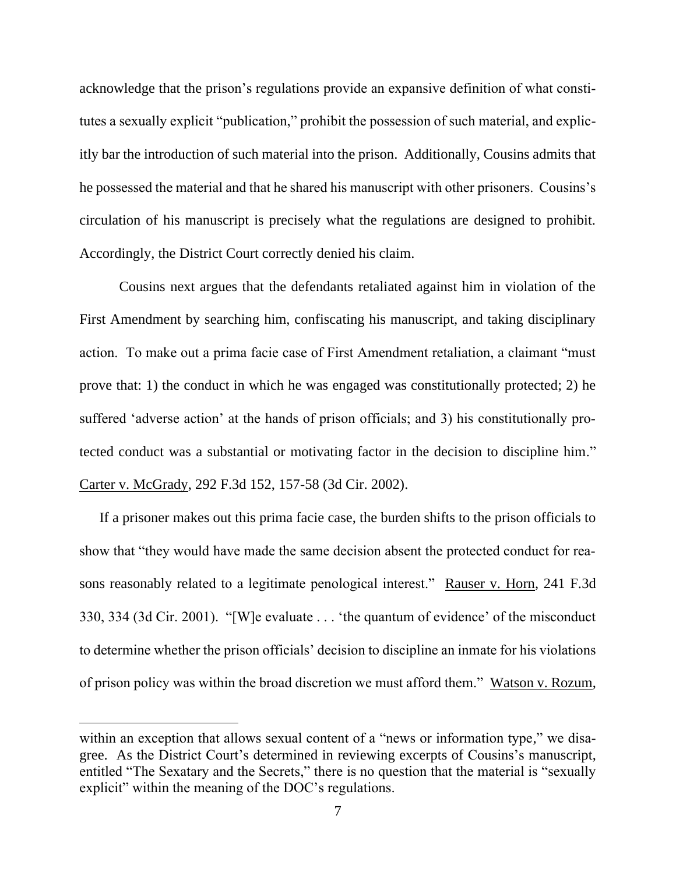acknowledge that the prison's regulations provide an expansive definition of what constitutes a sexually explicit "publication," prohibit the possession of such material, and explicitly bar the introduction of such material into the prison. Additionally, Cousins admits that he possessed the material and that he shared his manuscript with other prisoners. Cousins's circulation of his manuscript is precisely what the regulations are designed to prohibit. Accordingly, the District Court correctly denied his claim.

Cousins next argues that the defendants retaliated against him in violation of the First Amendment by searching him, confiscating his manuscript, and taking disciplinary action. To make out a prima facie case of First Amendment retaliation, a claimant "must prove that: 1) the conduct in which he was engaged was constitutionally protected; 2) he suffered 'adverse action' at the hands of prison officials; and 3) his constitutionally protected conduct was a substantial or motivating factor in the decision to discipline him." Carter v. McGrady, 292 F.3d 152, 157-58 (3d Cir. 2002).

If a prisoner makes out this prima facie case, the burden shifts to the prison officials to show that "they would have made the same decision absent the protected conduct for reasons reasonably related to a legitimate penological interest." Rauser v. Horn, 241 F.3d 330, 334 (3d Cir. 2001). "[W]e evaluate . . . 'the quantum of evidence' of the misconduct to determine whether the prison officials' decision to discipline an inmate for his violations of prison policy was within the broad discretion we must afford them." Watson v. Rozum,

within an exception that allows sexual content of a "news or information type," we disagree. As the District Court's determined in reviewing excerpts of Cousins's manuscript, entitled "The Sexatary and the Secrets," there is no question that the material is "sexually explicit" within the meaning of the DOC's regulations.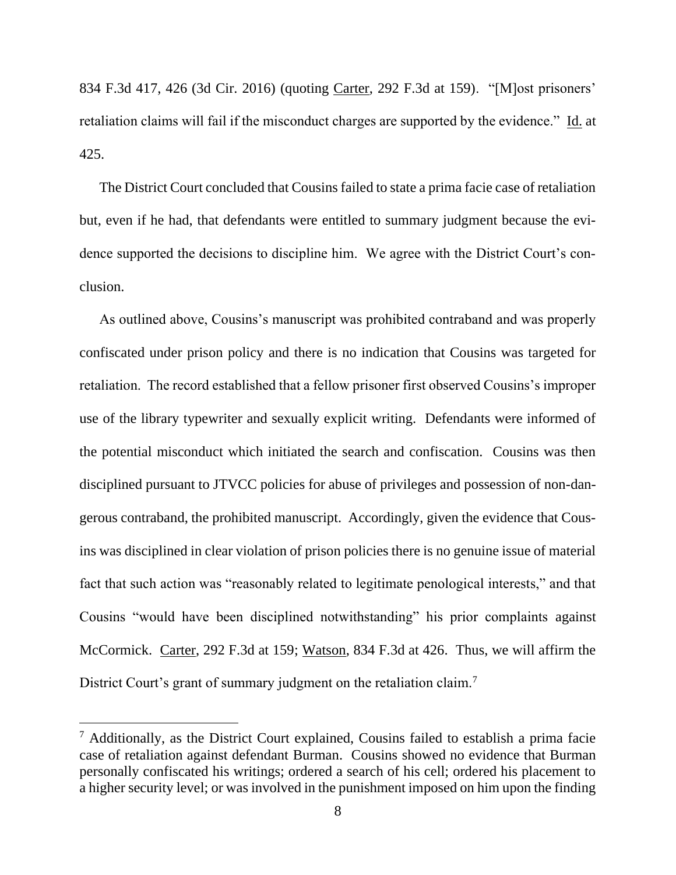834 F.3d 417, 426 (3d Cir. 2016) (quoting Carter, 292 F.3d at 159). "[M]ost prisoners' retaliation claims will fail if the misconduct charges are supported by the evidence." Id. at 425.

The District Court concluded that Cousins failed to state a prima facie case of retaliation but, even if he had, that defendants were entitled to summary judgment because the evidence supported the decisions to discipline him. We agree with the District Court's conclusion.

As outlined above, Cousins's manuscript was prohibited contraband and was properly confiscated under prison policy and there is no indication that Cousins was targeted for retaliation. The record established that a fellow prisoner first observed Cousins's improper use of the library typewriter and sexually explicit writing. Defendants were informed of the potential misconduct which initiated the search and confiscation. Cousins was then disciplined pursuant to JTVCC policies for abuse of privileges and possession of non-dangerous contraband, the prohibited manuscript. Accordingly, given the evidence that Cousins was disciplined in clear violation of prison policies there is no genuine issue of material fact that such action was "reasonably related to legitimate penological interests," and that Cousins "would have been disciplined notwithstanding" his prior complaints against McCormick. Carter, 292 F.3d at 159; Watson, 834 F.3d at 426. Thus, we will affirm the District Court's grant of summary judgment on the retaliation claim.<sup>7</sup>

<sup>7</sup> Additionally, as the District Court explained, Cousins failed to establish a prima facie case of retaliation against defendant Burman. Cousins showed no evidence that Burman personally confiscated his writings; ordered a search of his cell; ordered his placement to a higher security level; or was involved in the punishment imposed on him upon the finding